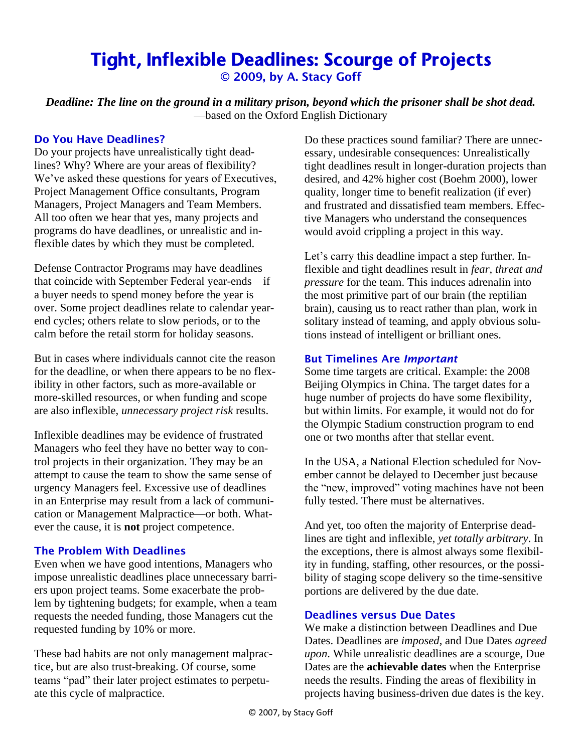# Tight, Inflexible Deadlines: Scourge of Projects © 2009, by A. Stacy Goff

*Deadline: The line on the ground in a military prison, beyond which the prisoner shall be shot dead.* —based on the Oxford English Dictionary

#### Do You Have Deadlines?

Do your projects have unrealistically tight deadlines? Why? Where are your areas of flexibility? We've asked these questions for years of Executives, Project Management Office consultants, Program Managers, Project Managers and Team Members. All too often we hear that yes, many projects and programs do have deadlines, or unrealistic and inflexible dates by which they must be completed.

Defense Contractor Programs may have deadlines that coincide with September Federal year-ends—if a buyer needs to spend money before the year is over. Some project deadlines relate to calendar yearend cycles; others relate to slow periods, or to the calm before the retail storm for holiday seasons.

But in cases where individuals cannot cite the reason for the deadline, or when there appears to be no flexibility in other factors, such as more-available or more-skilled resources, or when funding and scope are also inflexible, *unnecessary project risk* results.

Inflexible deadlines may be evidence of frustrated Managers who feel they have no better way to control projects in their organization. They may be an attempt to cause the team to show the same sense of urgency Managers feel. Excessive use of deadlines in an Enterprise may result from a lack of communication or Management Malpractice—or both. Whatever the cause, it is **not** project competence.

## The Problem With Deadlines

Even when we have good intentions, Managers who impose unrealistic deadlines place unnecessary barriers upon project teams. Some exacerbate the problem by tightening budgets; for example, when a team requests the needed funding, those Managers cut the requested funding by 10% or more.

These bad habits are not only management malpractice, but are also trust-breaking. Of course, some teams "pad" their later project estimates to perpetuate this cycle of malpractice.

Do these practices sound familiar? There are unnecessary, undesirable consequences: Unrealistically tight deadlines result in longer-duration projects than desired, and 42% higher cost (Boehm 2000), lower quality, longer time to benefit realization (if ever) and frustrated and dissatisfied team members. Effective Managers who understand the consequences would avoid crippling a project in this way.

Let's carry this deadline impact a step further. Inflexible and tight deadlines result in *fear, threat and pressure* for the team. This induces adrenalin into the most primitive part of our brain (the reptilian brain), causing us to react rather than plan, work in solitary instead of teaming, and apply obvious solutions instead of intelligent or brilliant ones.

#### But Timelines Are *Important*

Some time targets are critical. Example: the 2008 Beijing Olympics in China. The target dates for a huge number of projects do have some flexibility, but within limits. For example, it would not do for the Olympic Stadium construction program to end one or two months after that stellar event.

In the USA, a National Election scheduled for November cannot be delayed to December just because the "new, improved" voting machines have not been fully tested. There must be alternatives.

And yet, too often the majority of Enterprise deadlines are tight and inflexible, *yet totally arbitrary*. In the exceptions, there is almost always some flexibility in funding, staffing, other resources, or the possibility of staging scope delivery so the time-sensitive portions are delivered by the due date.

## Deadlines versus Due Dates

We make a distinction between Deadlines and Due Dates. Deadlines are *imposed*, and Due Dates *agreed upon*. While unrealistic deadlines are a scourge, Due Dates are the **achievable dates** when the Enterprise needs the results. Finding the areas of flexibility in projects having business-driven due dates is the key.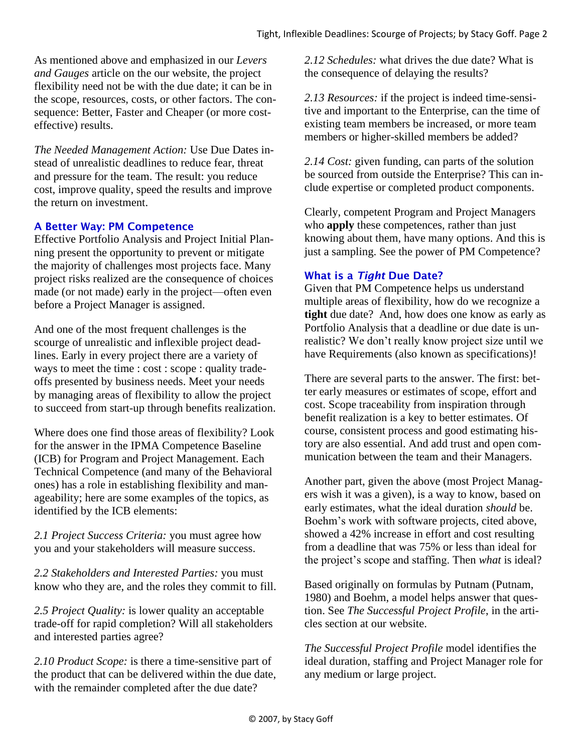As mentioned above and emphasized in our *Levers and Gauges* article on the our website, the project flexibility need not be with the due date; it can be in the scope, resources, costs, or other factors. The consequence: Better, Faster and Cheaper (or more costeffective) results.

*The Needed Management Action:* Use Due Dates instead of unrealistic deadlines to reduce fear, threat and pressure for the team. The result: you reduce cost, improve quality, speed the results and improve the return on investment.

## A Better Way: PM Competence

Effective Portfolio Analysis and Project Initial Planning present the opportunity to prevent or mitigate the majority of challenges most projects face. Many project risks realized are the consequence of choices made (or not made) early in the project—often even before a Project Manager is assigned.

And one of the most frequent challenges is the scourge of unrealistic and inflexible project deadlines. Early in every project there are a variety of ways to meet the time : cost : scope : quality tradeoffs presented by business needs. Meet your needs by managing areas of flexibility to allow the project to succeed from start-up through benefits realization.

Where does one find those areas of flexibility? Look for the answer in the IPMA Competence Baseline (ICB) for Program and Project Management. Each Technical Competence (and many of the Behavioral ones) has a role in establishing flexibility and manageability; here are some examples of the topics, as identified by the ICB elements:

*2.1 Project Success Criteria:* you must agree how you and your stakeholders will measure success.

*2.2 Stakeholders and Interested Parties:* you must know who they are, and the roles they commit to fill.

*2.5 Project Quality:* is lower quality an acceptable trade-off for rapid completion? Will all stakeholders and interested parties agree?

*2.10 Product Scope:* is there a time-sensitive part of the product that can be delivered within the due date, with the remainder completed after the due date?

*2.12 Schedules:* what drives the due date? What is the consequence of delaying the results?

*2.13 Resources:* if the project is indeed time-sensitive and important to the Enterprise, can the time of existing team members be increased, or more team members or higher-skilled members be added?

*2.14 Cost:* given funding, can parts of the solution be sourced from outside the Enterprise? This can include expertise or completed product components.

Clearly, competent Program and Project Managers who **apply** these competences, rather than just knowing about them, have many options. And this is just a sampling. See the power of PM Competence?

#### What is a *Tight* Due Date?

Given that PM Competence helps us understand multiple areas of flexibility, how do we recognize a **tight** due date? And, how does one know as early as Portfolio Analysis that a deadline or due date is unrealistic? We don't really know project size until we have Requirements (also known as specifications)!

There are several parts to the answer. The first: better early measures or estimates of scope, effort and cost. Scope traceability from inspiration through benefit realization is a key to better estimates. Of course, consistent process and good estimating history are also essential. And add trust and open communication between the team and their Managers.

Another part, given the above (most Project Managers wish it was a given), is a way to know, based on early estimates, what the ideal duration *should* be. Boehm's work with software projects, cited above, showed a 42% increase in effort and cost resulting from a deadline that was 75% or less than ideal for the project's scope and staffing. Then *what* is ideal?

Based originally on formulas by Putnam (Putnam, 1980) and Boehm, a model helps answer that question. See *The Successful Project Profile*, in the articles section at our website.

*The Successful Project Profile* model identifies the ideal duration, staffing and Project Manager role for any medium or large project.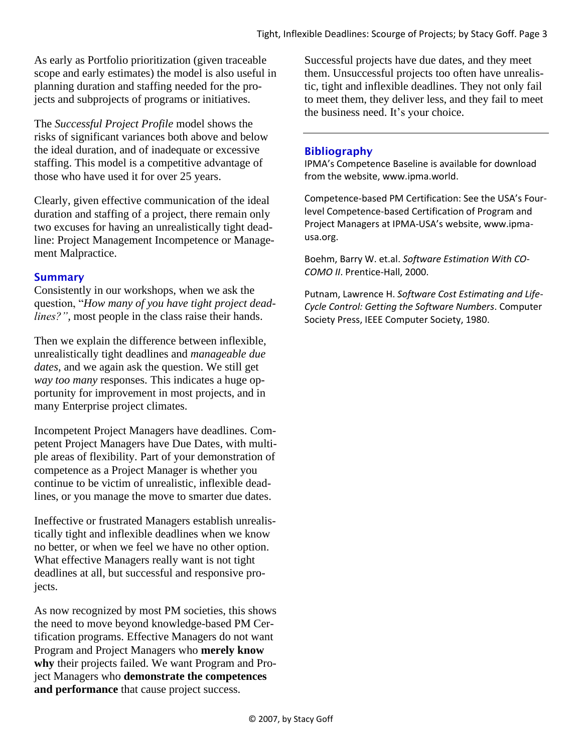As early as Portfolio prioritization (given traceable scope and early estimates) the model is also useful in planning duration and staffing needed for the projects and subprojects of programs or initiatives.

The *Successful Project Profile* model shows the risks of significant variances both above and below the ideal duration, and of inadequate or excessive staffing. This model is a competitive advantage of those who have used it for over 25 years.

Clearly, given effective communication of the ideal duration and staffing of a project, there remain only two excuses for having an unrealistically tight deadline: Project Management Incompetence or Management Malpractice.

#### **Summary**

Consistently in our workshops, when we ask the question, "*How many of you have tight project deadlines?",* most people in the class raise their hands.

Then we explain the difference between inflexible, unrealistically tight deadlines and *manageable due dates*, and we again ask the question. We still get *way too many* responses. This indicates a huge opportunity for improvement in most projects, and in many Enterprise project climates.

Incompetent Project Managers have deadlines. Competent Project Managers have Due Dates, with multiple areas of flexibility. Part of your demonstration of competence as a Project Manager is whether you continue to be victim of unrealistic, inflexible deadlines, or you manage the move to smarter due dates.

Ineffective or frustrated Managers establish unrealistically tight and inflexible deadlines when we know no better, or when we feel we have no other option. What effective Managers really want is not tight deadlines at all, but successful and responsive projects.

As now recognized by most PM societies, this shows the need to move beyond knowledge-based PM Certification programs. Effective Managers do not want Program and Project Managers who **merely know why** their projects failed. We want Program and Project Managers who **demonstrate the competences and performance** that cause project success.

Successful projects have due dates, and they meet them. Unsuccessful projects too often have unrealistic, tight and inflexible deadlines. They not only fail to meet them, they deliver less, and they fail to meet the business need. It's your choice.

## Bibliography

IPMA's Competence Baseline is available for download from the website, www.ipma.world.

Competence-based PM Certification: See the USA's Fourlevel Competence-based Certification of Program and Project Managers at IPMA-USA's website, www.ipmausa.org.

Boehm, Barry W. et.al. *Software Estimation With CO-COMO II*. Prentice-Hall, 2000.

Putnam, Lawrence H. *Software Cost Estimating and Life-Cycle Control: Getting the Software Numbers*. Computer Society Press, IEEE Computer Society, 1980.